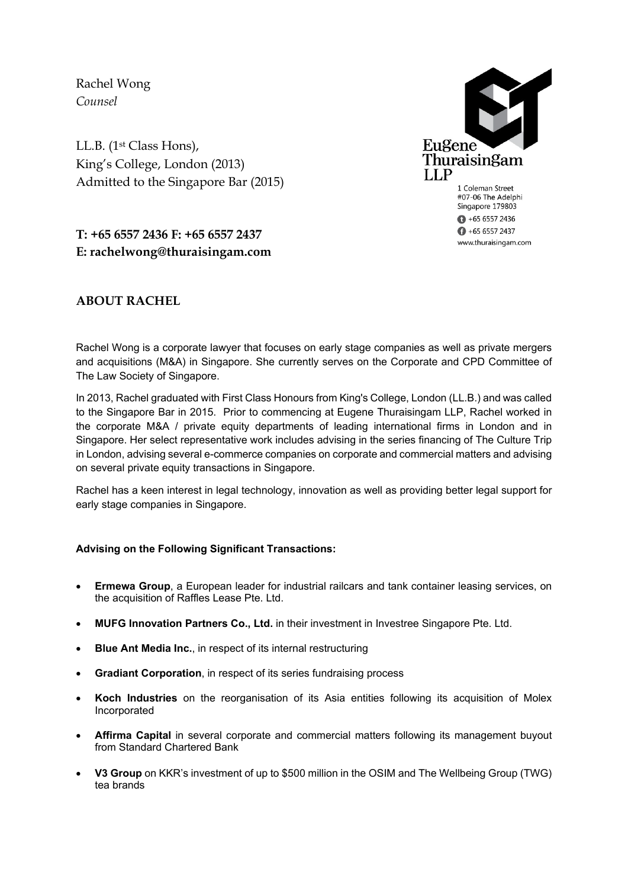Rachel Wong *Counsel*

LL.B. (1st Class Hons), King's College, London (2013) Admitted to the Singapore Bar (2015)



1 Coleman Street #07-06 The Adelphi Singapore 179803  $+6565572436$  $\bigoplus$  +65 6557 2437 www.thuraisingam.com

# **T: +65 6557 2436 F: +65 6557 2437 E: rachelwong@thuraisingam.com**

## **ABOUT RACHEL**

Rachel Wong is a corporate lawyer that focuses on early stage companies as well as private mergers and acquisitions (M&A) in Singapore. She currently serves on the Corporate and CPD Committee of The Law Society of Singapore.

In 2013, Rachel graduated with First Class Honours from King's College, London (LL.B.) and was called to the Singapore Bar in 2015. Prior to commencing at Eugene Thuraisingam LLP, Rachel worked in the corporate M&A / private equity departments of leading international firms in London and in Singapore. Her select representative work includes advising in the series financing of The Culture Trip in London, advising several e-commerce companies on corporate and commercial matters and advising on several private equity transactions in Singapore.

Rachel has a keen interest in legal technology, innovation as well as providing better legal support for early stage companies in Singapore.

### **Advising on the Following Significant Transactions:**

- **Ermewa Group**, a European leader for industrial railcars and tank container leasing services, on the acquisition of Raffles Lease Pte. Ltd.
- **MUFG Innovation Partners Co., Ltd.** in their investment in Investree Singapore Pte. Ltd.
- **Blue Ant Media Inc.**, in respect of its internal restructuring
- **Gradiant Corporation**, in respect of its series fundraising process
- **Koch Industries** on the reorganisation of its Asia entities following its acquisition of Molex Incorporated
- **Affirma Capital** in several corporate and commercial matters following its management buyout from Standard Chartered Bank
- **V3 Group** on KKR's investment of up to \$500 million in the OSIM and The Wellbeing Group (TWG) tea brands